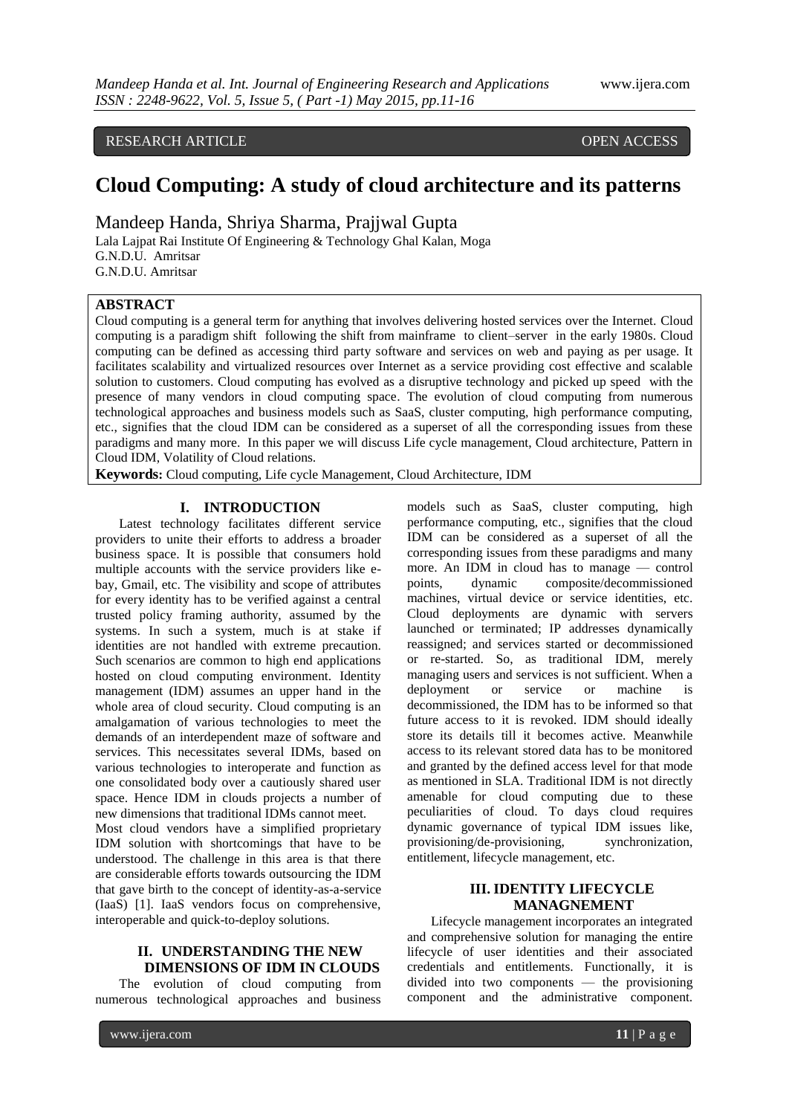# RESEARCH ARTICLE **CONSERVERS** OPEN ACCESS

# **Cloud Computing: A study of cloud architecture and its patterns**

Mandeep Handa, Shriya Sharma, Prajjwal Gupta

Lala Lajpat Rai Institute Of Engineering & Technology Ghal Kalan, Moga G.N.D.U. Amritsar G.N.D.U. Amritsar

# **ABSTRACT**

Cloud computing is a general term for anything that involves delivering hosted services over the Internet. Cloud computing is a paradigm shift following the shift from mainframe to client–server in the early 1980s. Cloud computing can be defined as accessing third party software and services on web and paying as per usage. It facilitates scalability and virtualized resources over Internet as a service providing cost effective and scalable solution to customers. Cloud computing has evolved as a disruptive technology and picked up speed with the presence of many vendors in cloud computing space. The evolution of cloud computing from numerous technological approaches and business models such as SaaS, cluster computing, high performance computing, etc., signifies that the cloud IDM can be considered as a superset of all the corresponding issues from these paradigms and many more. In this paper we will discuss Life cycle management, Cloud architecture, Pattern in Cloud IDM, Volatility of Cloud relations.

**Keywords:** Cloud computing, Life cycle Management, Cloud Architecture, IDM

# **I. INTRODUCTION**

Latest technology facilitates different service providers to unite their efforts to address a broader business space. It is possible that consumers hold multiple accounts with the service providers like ebay, Gmail, etc. The visibility and scope of attributes for every identity has to be verified against a central trusted policy framing authority, assumed by the systems. In such a system, much is at stake if identities are not handled with extreme precaution. Such scenarios are common to high end applications hosted on cloud computing environment. Identity management (IDM) assumes an upper hand in the whole area of cloud security. Cloud computing is an amalgamation of various technologies to meet the demands of an interdependent maze of software and services. This necessitates several IDMs, based on various technologies to interoperate and function as one consolidated body over a cautiously shared user space. Hence IDM in clouds projects a number of new dimensions that traditional IDMs cannot meet.

Most cloud vendors have a simplified proprietary IDM solution with shortcomings that have to be understood. The challenge in this area is that there are considerable efforts towards outsourcing the IDM that gave birth to the concept of identity-as-a-service (IaaS) [1]. IaaS vendors focus on comprehensive, interoperable and quick-to-deploy solutions.

# **II. UNDERSTANDING THE NEW DIMENSIONS OF IDM IN CLOUDS**

The evolution of cloud computing from numerous technological approaches and business

models such as SaaS, cluster computing, high performance computing, etc., signifies that the cloud IDM can be considered as a superset of all the corresponding issues from these paradigms and many more. An IDM in cloud has to manage — control points, dynamic composite/decommissioned machines, virtual device or service identities, etc. Cloud deployments are dynamic with servers launched or terminated; IP addresses dynamically reassigned; and services started or decommissioned or re-started. So, as traditional IDM, merely managing users and services is not sufficient. When a deployment or service or machine is decommissioned, the IDM has to be informed so that future access to it is revoked. IDM should ideally store its details till it becomes active. Meanwhile access to its relevant stored data has to be monitored and granted by the defined access level for that mode as mentioned in SLA. Traditional IDM is not directly amenable for cloud computing due to these peculiarities of cloud. To days cloud requires dynamic governance of typical IDM issues like, provisioning/de-provisioning, synchronization, entitlement, lifecycle management, etc.

# **III. IDENTITY LIFECYCLE MANAGNEMENT**

Lifecycle management incorporates an integrated and comprehensive solution for managing the entire lifecycle of user identities and their associated credentials and entitlements. Functionally, it is divided into two components — the provisioning component and the administrative component.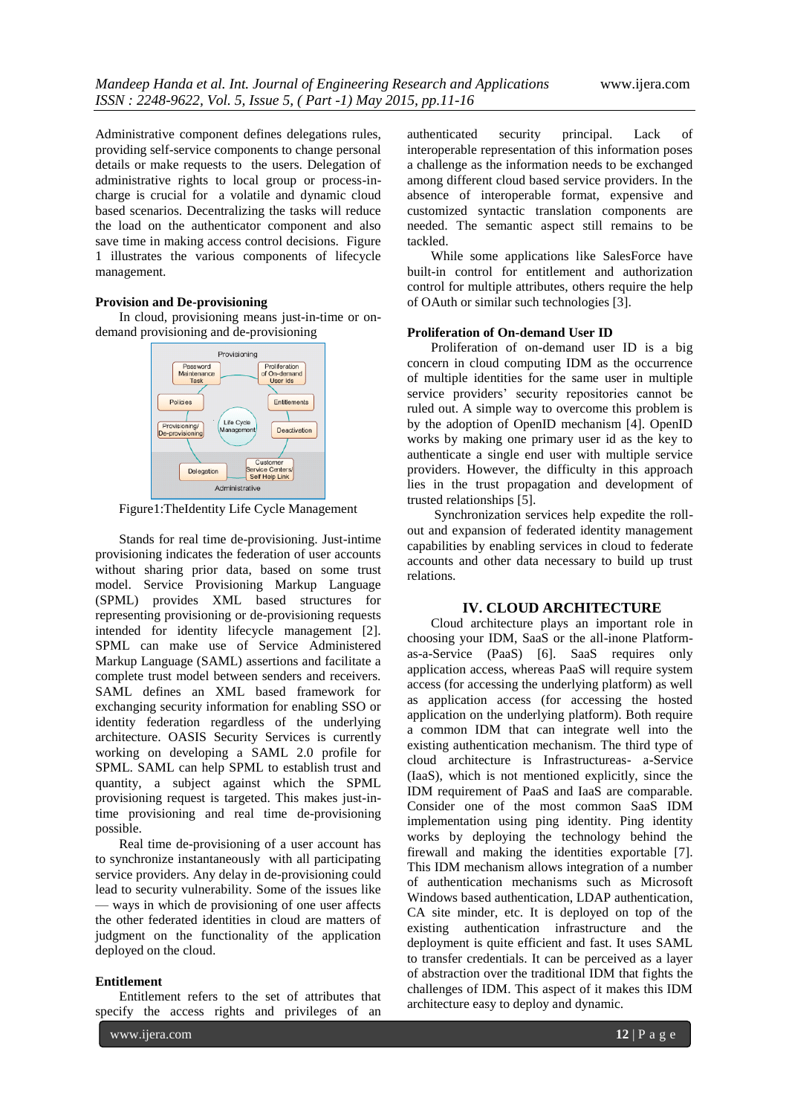Administrative component defines delegations rules, providing self-service components to change personal details or make requests to the users. Delegation of administrative rights to local group or process-incharge is crucial for a volatile and dynamic cloud based scenarios. Decentralizing the tasks will reduce the load on the authenticator component and also save time in making access control decisions. Figure 1 illustrates the various components of lifecycle management.

# **Provision and De-provisioning**

In cloud, provisioning means just-in-time or ondemand provisioning and de-provisioning



Figure1:TheIdentity Life Cycle Management

Stands for real time de-provisioning. Just-intime provisioning indicates the federation of user accounts without sharing prior data, based on some trust model. Service Provisioning Markup Language (SPML) provides XML based structures for representing provisioning or de-provisioning requests intended for identity lifecycle management [2]. SPML can make use of Service Administered Markup Language (SAML) assertions and facilitate a complete trust model between senders and receivers. SAML defines an XML based framework for exchanging security information for enabling SSO or identity federation regardless of the underlying architecture. OASIS Security Services is currently working on developing a SAML 2.0 profile for SPML. SAML can help SPML to establish trust and quantity, a subject against which the SPML provisioning request is targeted. This makes just-intime provisioning and real time de-provisioning possible.

Real time de-provisioning of a user account has to synchronize instantaneously with all participating service providers. Any delay in de-provisioning could lead to security vulnerability. Some of the issues like — ways in which de provisioning of one user affects the other federated identities in cloud are matters of judgment on the functionality of the application deployed on the cloud.

## **Entitlement**

Entitlement refers to the set of attributes that specify the access rights and privileges of an

www.ijera.com **12** | P a g e

authenticated security principal. Lack of interoperable representation of this information poses a challenge as the information needs to be exchanged among different cloud based service providers. In the absence of interoperable format, expensive and customized syntactic translation components are needed. The semantic aspect still remains to be tackled.

While some applications like SalesForce have built-in control for entitlement and authorization control for multiple attributes, others require the help of OAuth or similar such technologies [3].

#### **Proliferation of On-demand User ID**

Proliferation of on-demand user ID is a big concern in cloud computing IDM as the occurrence of multiple identities for the same user in multiple service providers' security repositories cannot be ruled out. A simple way to overcome this problem is by the adoption of OpenID mechanism [4]. OpenID works by making one primary user id as the key to authenticate a single end user with multiple service providers. However, the difficulty in this approach lies in the trust propagation and development of trusted relationships [5].

Synchronization services help expedite the rollout and expansion of federated identity management capabilities by enabling services in cloud to federate accounts and other data necessary to build up trust relations.

# **IV. CLOUD ARCHITECTURE**

Cloud architecture plays an important role in choosing your IDM, SaaS or the all-inone Platformas-a-Service (PaaS) [6]. SaaS requires only application access, whereas PaaS will require system access (for accessing the underlying platform) as well as application access (for accessing the hosted application on the underlying platform). Both require a common IDM that can integrate well into the existing authentication mechanism. The third type of cloud architecture is Infrastructureas- a-Service (IaaS), which is not mentioned explicitly, since the IDM requirement of PaaS and IaaS are comparable. Consider one of the most common SaaS IDM implementation using ping identity. Ping identity works by deploying the technology behind the firewall and making the identities exportable [7]. This IDM mechanism allows integration of a number of authentication mechanisms such as Microsoft Windows based authentication, LDAP authentication, CA site minder, etc. It is deployed on top of the existing authentication infrastructure and the deployment is quite efficient and fast. It uses SAML to transfer credentials. It can be perceived as a layer of abstraction over the traditional IDM that fights the challenges of IDM. This aspect of it makes this IDM architecture easy to deploy and dynamic.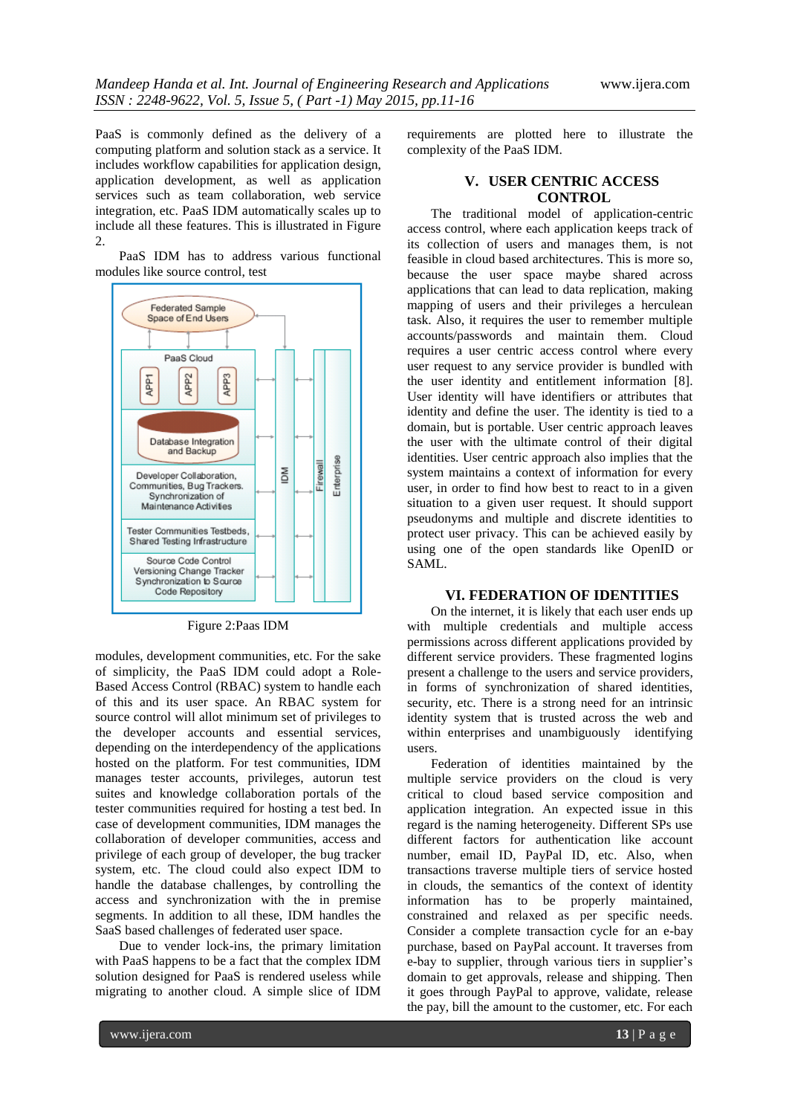PaaS is commonly defined as the delivery of a computing platform and solution stack as a service. It includes workflow capabilities for application design, application development, as well as application services such as team collaboration, web service integration, etc. PaaS IDM automatically scales up to include all these features. This is illustrated in Figure  $2^{\circ}$ 

PaaS IDM has to address various functional modules like source control, test



Figure 2:Paas IDM

modules, development communities, etc. For the sake of simplicity, the PaaS IDM could adopt a Role-Based Access Control (RBAC) system to handle each of this and its user space. An RBAC system for source control will allot minimum set of privileges to the developer accounts and essential services, depending on the interdependency of the applications hosted on the platform. For test communities, IDM manages tester accounts, privileges, autorun test suites and knowledge collaboration portals of the tester communities required for hosting a test bed. In case of development communities, IDM manages the collaboration of developer communities, access and privilege of each group of developer, the bug tracker system, etc. The cloud could also expect IDM to handle the database challenges, by controlling the access and synchronization with the in premise segments. In addition to all these, IDM handles the SaaS based challenges of federated user space.

Due to vender lock-ins, the primary limitation with PaaS happens to be a fact that the complex IDM solution designed for PaaS is rendered useless while migrating to another cloud. A simple slice of IDM

requirements are plotted here to illustrate the complexity of the PaaS IDM.

# **V. USER CENTRIC ACCESS CONTROL**

The traditional model of application-centric access control, where each application keeps track of its collection of users and manages them, is not feasible in cloud based architectures. This is more so, because the user space maybe shared across applications that can lead to data replication, making mapping of users and their privileges a herculean task. Also, it requires the user to remember multiple accounts/passwords and maintain them. Cloud requires a user centric access control where every user request to any service provider is bundled with the user identity and entitlement information [8]. User identity will have identifiers or attributes that identity and define the user. The identity is tied to a domain, but is portable. User centric approach leaves the user with the ultimate control of their digital identities. User centric approach also implies that the system maintains a context of information for every user, in order to find how best to react to in a given situation to a given user request. It should support pseudonyms and multiple and discrete identities to protect user privacy. This can be achieved easily by using one of the open standards like OpenID or SAML.

# **VI. FEDERATION OF IDENTITIES**

On the internet, it is likely that each user ends up with multiple credentials and multiple access permissions across different applications provided by different service providers. These fragmented logins present a challenge to the users and service providers, in forms of synchronization of shared identities, security, etc. There is a strong need for an intrinsic identity system that is trusted across the web and within enterprises and unambiguously identifying users.

Federation of identities maintained by the multiple service providers on the cloud is very critical to cloud based service composition and application integration. An expected issue in this regard is the naming heterogeneity. Different SPs use different factors for authentication like account number, email ID, PayPal ID, etc. Also, when transactions traverse multiple tiers of service hosted in clouds, the semantics of the context of identity information has to be properly maintained, constrained and relaxed as per specific needs. Consider a complete transaction cycle for an e-bay purchase, based on PayPal account. It traverses from e-bay to supplier, through various tiers in supplier's domain to get approvals, release and shipping. Then it goes through PayPal to approve, validate, release the pay, bill the amount to the customer, etc. For each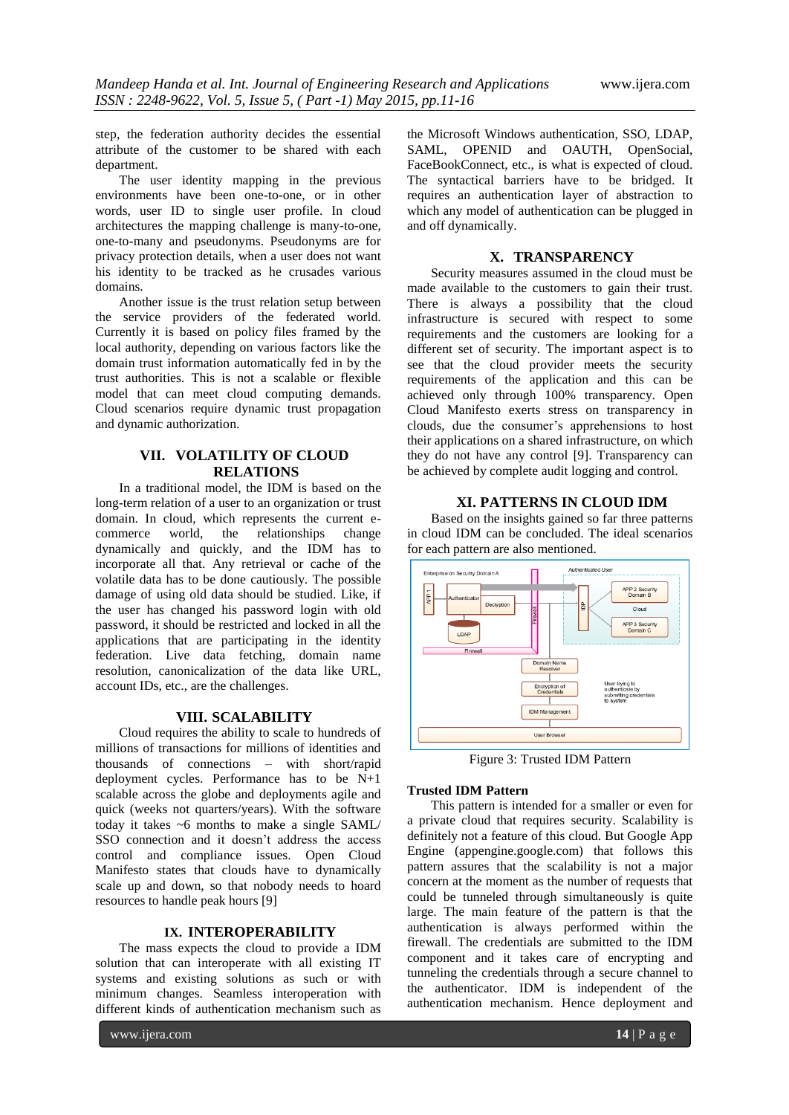step, the federation authority decides the essential attribute of the customer to be shared with each department.

The user identity mapping in the previous environments have been one-to-one, or in other words, user ID to single user profile. In cloud architectures the mapping challenge is many-to-one, one-to-many and pseudonyms. Pseudonyms are for privacy protection details, when a user does not want his identity to be tracked as he crusades various domains.

Another issue is the trust relation setup between the service providers of the federated world. Currently it is based on policy files framed by the local authority, depending on various factors like the domain trust information automatically fed in by the trust authorities. This is not a scalable or flexible model that can meet cloud computing demands. Cloud scenarios require dynamic trust propagation and dynamic authorization.

# **VII. VOLATILITY OF CLOUD RELATIONS**

In a traditional model, the IDM is based on the long-term relation of a user to an organization or trust domain. In cloud, which represents the current ecommerce world, the relationships change dynamically and quickly, and the IDM has to incorporate all that. Any retrieval or cache of the volatile data has to be done cautiously. The possible damage of using old data should be studied. Like, if the user has changed his password login with old password, it should be restricted and locked in all the applications that are participating in the identity federation. Live data fetching, domain name resolution, canonicalization of the data like URL, account IDs, etc., are the challenges.

# **VIII. SCALABILITY**

Cloud requires the ability to scale to hundreds of millions of transactions for millions of identities and thousands of connections – with short/rapid deployment cycles. Performance has to be N+1 scalable across the globe and deployments agile and quick (weeks not quarters/years). With the software today it takes ~6 months to make a single SAML/ SSO connection and it doesn't address the access control and compliance issues. Open Cloud Manifesto states that clouds have to dynamically scale up and down, so that nobody needs to hoard resources to handle peak hours [9]

#### **IX. INTEROPERABILITY**

The mass expects the cloud to provide a IDM solution that can interoperate with all existing IT systems and existing solutions as such or with minimum changes. Seamless interoperation with different kinds of authentication mechanism such as

the Microsoft Windows authentication, SSO, LDAP, SAML, OPENID and OAUTH, OpenSocial, FaceBookConnect, etc., is what is expected of cloud. The syntactical barriers have to be bridged. It requires an authentication layer of abstraction to which any model of authentication can be plugged in and off dynamically.

# **X. TRANSPARENCY**

Security measures assumed in the cloud must be made available to the customers to gain their trust. There is always a possibility that the cloud infrastructure is secured with respect to some requirements and the customers are looking for a different set of security. The important aspect is to see that the cloud provider meets the security requirements of the application and this can be achieved only through 100% transparency. Open Cloud Manifesto exerts stress on transparency in clouds, due the consumer's apprehensions to host their applications on a shared infrastructure, on which they do not have any control [9]. Transparency can be achieved by complete audit logging and control.

# **XI. PATTERNS IN CLOUD IDM**

Based on the insights gained so far three patterns in cloud IDM can be concluded. The ideal scenarios for each pattern are also mentioned.



Figure 3: Trusted IDM Pattern

# **Trusted IDM Pattern**

This pattern is intended for a smaller or even for a private cloud that requires security. Scalability is definitely not a feature of this cloud. But Google App Engine (appengine.google.com) that follows this pattern assures that the scalability is not a major concern at the moment as the number of requests that could be tunneled through simultaneously is quite large. The main feature of the pattern is that the authentication is always performed within the firewall. The credentials are submitted to the IDM component and it takes care of encrypting and tunneling the credentials through a secure channel to the authenticator. IDM is independent of the authentication mechanism. Hence deployment and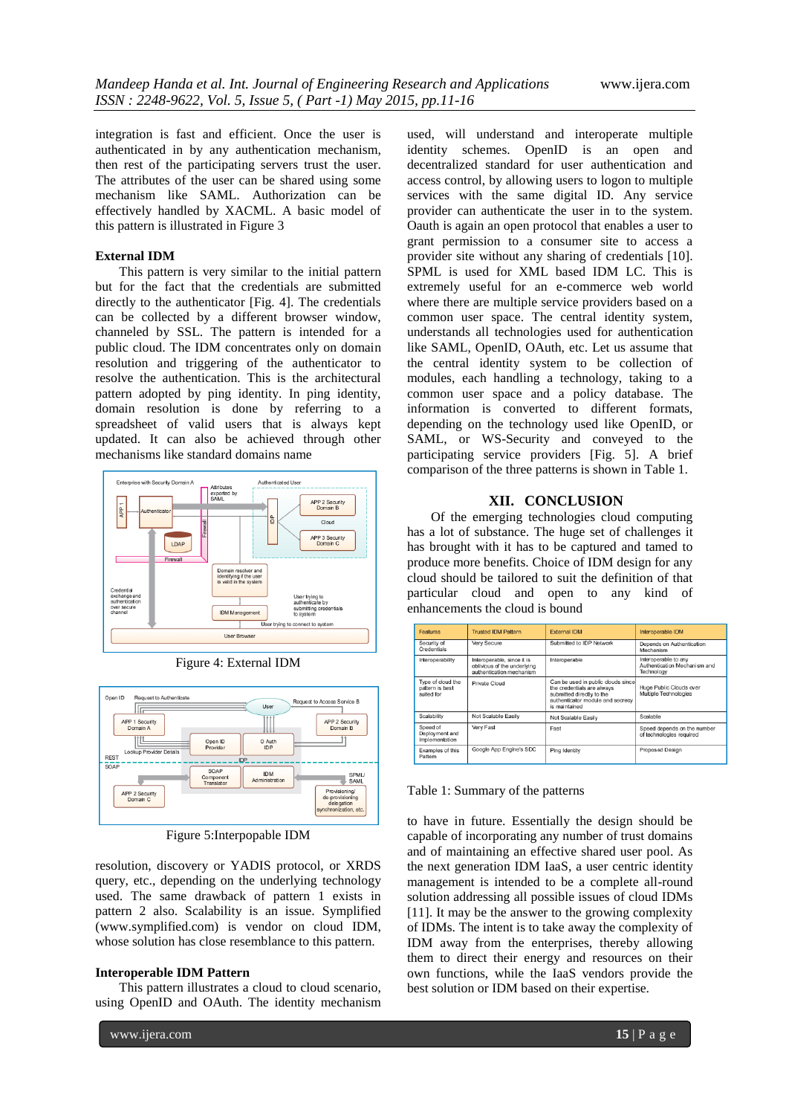integration is fast and efficient. Once the user is authenticated in by any authentication mechanism, then rest of the participating servers trust the user. The attributes of the user can be shared using some mechanism like SAML. Authorization can be effectively handled by XACML. A basic model of this pattern is illustrated in Figure 3

# **External IDM**

This pattern is very similar to the initial pattern but for the fact that the credentials are submitted directly to the authenticator [Fig. 4]. The credentials can be collected by a different browser window, channeled by SSL. The pattern is intended for a public cloud. The IDM concentrates only on domain resolution and triggering of the authenticator to resolve the authentication. This is the architectural pattern adopted by ping identity. In ping identity, domain resolution is done by referring to a spreadsheet of valid users that is always kept updated. It can also be achieved through other mechanisms like standard domains name



Figure 4: External IDM



Figure 5:Interpopable IDM

resolution, discovery or YADIS protocol, or XRDS query, etc., depending on the underlying technology used. The same drawback of pattern 1 exists in pattern 2 also. Scalability is an issue. Symplified (www.symplified.com) is vendor on cloud IDM, whose solution has close resemblance to this pattern.

#### **Interoperable IDM Pattern**

This pattern illustrates a cloud to cloud scenario, using OpenID and OAuth. The identity mechanism

used, will understand and interoperate multiple identity schemes. OpenID is an open and decentralized standard for user authentication and access control, by allowing users to logon to multiple services with the same digital ID. Any service provider can authenticate the user in to the system. Oauth is again an open protocol that enables a user to grant permission to a consumer site to access a provider site without any sharing of credentials [10]. SPML is used for XML based IDM LC. This is extremely useful for an e-commerce web world where there are multiple service providers based on a common user space. The central identity system, understands all technologies used for authentication like SAML, OpenID, OAuth, etc. Let us assume that the central identity system to be collection of modules, each handling a technology, taking to a common user space and a policy database. The information is converted to different formats, depending on the technology used like OpenID, or SAML, or WS-Security and conveyed to the participating service providers [Fig. 5]. A brief comparison of the three patterns is shown in Table 1.

# **XII. CONCLUSION**

Of the emerging technologies cloud computing has a lot of substance. The huge set of challenges it has brought with it has to be captured and tamed to produce more benefits. Choice of IDM design for any cloud should be tailored to suit the definition of that particular cloud and open to any kind of enhancements the cloud is bound

| Features                                           | <b>Trusted IDM Pattern</b>                                                            | <b>External IDM</b>                                                                                                                                | Interoperable IDM                                                  |
|----------------------------------------------------|---------------------------------------------------------------------------------------|----------------------------------------------------------------------------------------------------------------------------------------------------|--------------------------------------------------------------------|
| Security of<br>Credentials                         | Very Secure                                                                           | Submitted to IDP Network                                                                                                                           | Depends on Authentication<br>Mechanism                             |
| Interoperability                                   | Interoperable, since it is<br>oblivious of the underlying<br>authentication mechanism | Interoperable                                                                                                                                      | Interoperable to any<br>Authentication Mechanism and<br>Technology |
| Type of cloud the<br>pattern is best<br>suited for | Private Cloud                                                                         | Can be used in public clouds since<br>the credentials are always<br>submitted directly to the<br>authenticator module and secrecy<br>is maintained | Huge Public Clouds over<br>Multiple Technologies                   |
| Scalability                                        | Not Scalable Easily                                                                   | Not Scalable Easily                                                                                                                                | Scalable                                                           |
| Speed of<br>Deployment and<br>Implementation       | Very Fast                                                                             | Fast                                                                                                                                               | Speed depends on the number<br>of technologies required            |
| Examples of this<br>Pattem                         | Google App Engine's SDC                                                               | Ping Identity                                                                                                                                      | Proposed Design                                                    |

# Table 1: Summary of the patterns

to have in future. Essentially the design should be capable of incorporating any number of trust domains and of maintaining an effective shared user pool. As the next generation IDM IaaS, a user centric identity management is intended to be a complete all-round solution addressing all possible issues of cloud IDMs [11]. It may be the answer to the growing complexity of IDMs. The intent is to take away the complexity of IDM away from the enterprises, thereby allowing them to direct their energy and resources on their own functions, while the IaaS vendors provide the best solution or IDM based on their expertise.